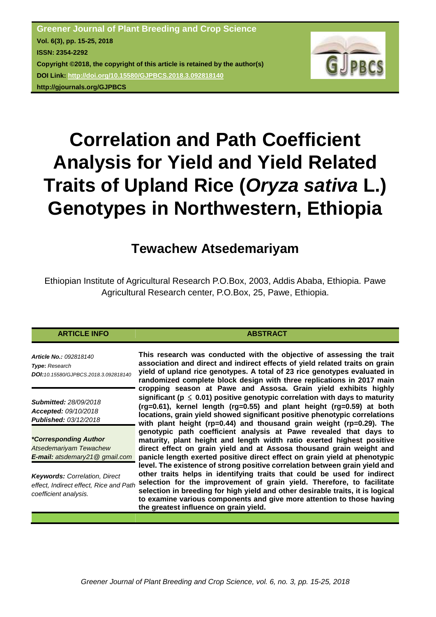

# **Correlation and Path Coefficient Analysis for Yield and Yield Related Traits of Upland Rice (***Oryza sativa* **L.) Genotypes in Northwestern, Ethiopia**

# **Tewachew Atsedemariyam**

Ethiopian Institute of Agricultural Research P.O.Box, 2003, Addis Ababa, Ethiopia. Pawe Agricultural Research center, P.O.Box, 25, Pawe, Ethiopia.

# **ARTICLE INFO ABSTRACT**

*Article No.: 092818140 Type***:** *Research DOI:10.15580/GJPBCS.2018.3.092818140*

*Submitted: 28/09/2018 Accepted: 09/10/2018 Published: 03/12/2018*

*\*Corresponding Author Atsedemariyam Tewachew E-mail: atsdemary21@ gmail.com*

*Keywords: Correlation, Direct effect, Indirect effect, Rice and Path coefficient analysis.*

**This research was conducted with the objective of assessing the trait association and direct and indirect effects of yield related traits on grain yield of upland rice genotypes. A total of 23 rice genotypes evaluated in randomized complete block design with three replications in 2017 main cropping season at Pawe and Assosa. Grain yield exhibits highly significant (p** ≤ **0.01) positive genotypic correlation with days to maturity (rg=0.61), kernel length (rg=0.55) and plant height (rg=0.59) at both locations, grain yield showed significant positive phenotypic correlations with plant height (rp=0.44) and thousand grain weight (rp=0.29). The genotypic path coefficient analysis at Pawe revealed that days to maturity, plant height and length width ratio exerted highest positive direct effect on grain yield and at Assosa thousand grain weight and panicle length exerted positive direct effect on grain yield at phenotypic level. The existence of strong positive correlation between grain yield and other traits helps in identifying traits that could be used for indirect selection for the improvement of grain yield. Therefore, to facilitate selection in breeding for high yield and other desirable traits, it is logical to examine various components and give more attention to those having the greatest influence on grain yield.**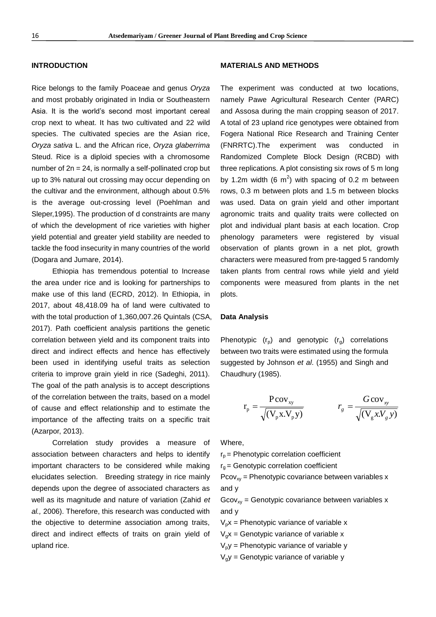#### **INTRODUCTION**

Rice belongs to the family Poaceae and genus *Oryza* and most probably originated in India or Southeastern Asia. It is the world's second most important cereal crop next to wheat. It has two cultivated and 22 wild species. The cultivated species are the Asian rice, *Oryza sativa* L. and the African rice, *Oryza glaberrima*  Steud. Rice is a diploid species with a chromosome number of  $2n = 24$ , is normally a self-pollinated crop but up to 3% natural out crossing may occur depending on the cultivar and the environment, although about 0.5% is the average out-crossing level (Poehlman and Sleper,1995). The production of d constraints are many of which the development of rice varieties with higher yield potential and greater yield stability are needed to tackle the food insecurity in many countries of the world (Dogara and Jumare, 2014).

Ethiopia has tremendous potential to Increase the area under rice and is looking for partnerships to make use of this land (ECRD, 2012). In Ethiopia, in 2017, about 48,418.09 ha of land were cultivated to with the total production of 1,360,007.26 Quintals (CSA, 2017). Path coefficient analysis partitions the genetic correlation between yield and its component traits into direct and indirect effects and hence has effectively been used in identifying useful traits as selection criteria to improve grain yield in rice (Sadeghi, 2011). The goal of the path analysis is to accept descriptions of the correlation between the traits, based on a model of cause and effect relationship and to estimate the importance of the affecting traits on a specific trait (Azarpor, 2013).

Correlation study provides a measure of association between characters and helps to identify important characters to be considered while making elucidates selection. Breeding strategy in rice mainly depends upon the degree of associated characters as well as its magnitude and nature of variation (Zahid *et al.,* 2006). Therefore, this research was conducted with the objective to determine association among traits, direct and indirect effects of traits on grain yield of upland rice.

#### **MATERIALS AND METHODS**

The experiment was conducted at two locations, namely Pawe Agricultural Research Center (PARC) and Assosa during the main cropping season of 2017. A total of 23 upland rice genotypes were obtained from Fogera National Rice Research and Training Center (FNRRTC).The experiment was conducted in Randomized Complete Block Design (RCBD) with three replications. A plot consisting six rows of 5 m long by 1.2m width (6  $m^2$ ) with spacing of 0.2 m between rows, 0.3 m between plots and 1.5 m between blocks was used. Data on grain yield and other important agronomic traits and quality traits were collected on plot and individual plant basis at each location. Crop phenology parameters were registered by visual observation of plants grown in a net plot, growth characters were measured from pre-tagged 5 randomly taken plants from central rows while yield and yield components were measured from plants in the net plots.

#### **Data Analysis**

Phenotypic  $(r_p)$  and genotypic  $(r_g)$  correlations between two traits were estimated using the formula suggested by Johnson *et al*. (1955) and Singh and Chaudhury (1985).

$$
r_{p} = \frac{P \text{cov}_{xy}}{\sqrt{(V_{p}X.V_{p}y)}}
$$
 
$$
r_{g} = \frac{G \text{cov}_{xy}}{\sqrt{(V_{g}x.V_{g}y)}}
$$

Where,

 $r_p$  = Phenotypic correlation coefficient

 $r<sub>g</sub>$  = Genotypic correlation coefficient

 $Pcov_{xy}$  = Phenotypic covariance between variables x and y

 $Gcov_{xy}$  = Genotypic covariance between variables x and y

 $V_p x$  = Phenotypic variance of variable x

 $V_{\alpha}x$  = Genotypic variance of variable x

 $V<sub>p</sub>y$  = Phenotypic variance of variable y

 $V_0$ y = Genotypic variance of variable y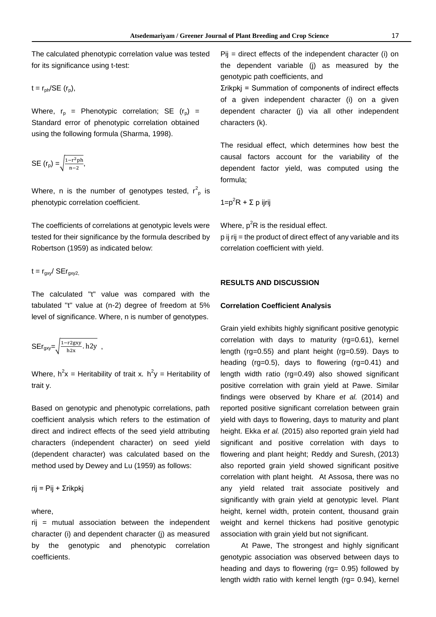The calculated phenotypic correlation value was tested for its significance using t-test:

$$
t = r_{ph}/SE(r_p),
$$

Where,  $r_p$  = Phenotypic correlation; SE  $(r_p)$  = Standard error of phenotypic correlation obtained using the following formula (Sharma, 1998).

SE 
$$
(r_p) = \sqrt{\frac{1 - r^2 ph}{n - 2}}
$$
,

Where, n is the number of genotypes tested,  $r^2$ <sub>p</sub> is phenotypic correlation coefficient.

The coefficients of correlations at genotypic levels were tested for their significance by the formula described by Robertson (1959) as indicated below:

# $t = r_{\text{ax}}/SEr_{\text{ax}}$

The calculated ''t'' value was compared with the tabulated ''t'' value at (n-2) degree of freedom at 5% level of significance. Where, n is number of genotypes.

$$
SEr_{\text{gxy}} = \sqrt{\frac{1 - r2gyy}{hzx} \cdot h2y} ,
$$

Where,  $h^2x$  = Heritability of trait x.  $h^2y$  = Heritability of trait y.

Based on genotypic and phenotypic correlations, path coefficient analysis which refers to the estimation of direct and indirect effects of the seed yield attributing characters (independent character) on seed yield (dependent character) was calculated based on the method used by Dewey and Lu (1959) as follows:

rij = Pij + Σrikpkj

#### where,

rij = mutual association between the independent character (i) and dependent character (j) as measured by the genotypic and phenotypic correlation coefficients.

Pij = direct effects of the independent character (i) on the dependent variable (j) as measured by the genotypic path coefficients, and Σrikpkj = Summation of components of indirect effects of a given independent character (i) on a given dependent character (j) via all other independent characters (k).

The residual effect, which determines how best the causal factors account for the variability of the dependent factor yield, was computed using the formula;

 $1=p^2R + \Sigma p$  iirii

Where,  $p^2R$  is the residual effect. p ij rij = the product of direct effect of any variable and its

correlation coefficient with yield.

## **RESULTS AND DISCUSSION**

#### **Correlation Coefficient Analysis**

Grain yield exhibits highly significant positive genotypic correlation with days to maturity (rg=0.61), kernel length (rg=0.55) and plant height (rg=0.59). Days to heading (rg=0.5), days to flowering (rg=0.41) and length width ratio (rg=0.49) also showed significant positive correlation with grain yield at Pawe. Similar findings were observed by Khare *et al.* (2014) and reported positive significant correlation between grain yield with days to flowering, days to maturity and plant height. Ekka *et al.* (2015) also reported grain yield had significant and positive correlation with days to flowering and plant height; Reddy and Suresh, (2013) also reported grain yield showed significant positive correlation with plant height. At Assosa, there was no any yield related trait associate positively and significantly with grain yield at genotypic level. Plant height, kernel width, protein content, thousand grain weight and kernel thickens had positive genotypic association with grain yield but not significant.

At Pawe, The strongest and highly significant genotypic association was observed between days to heading and days to flowering (rg= 0.95) followed by length width ratio with kernel length (rg= 0.94), kernel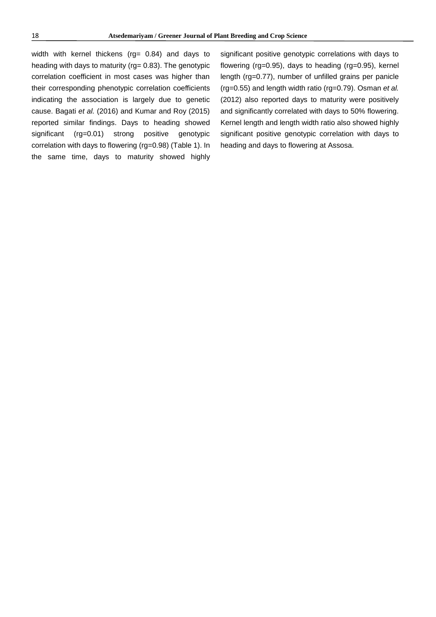width with kernel thickens (rg= 0.84) and days to heading with days to maturity (rg= 0.83). The genotypic correlation coefficient in most cases was higher than their corresponding phenotypic correlation coefficients indicating the association is largely due to genetic cause. Bagati *et al.* (2016) and Kumar and Roy (2015) reported similar findings. Days to heading showed significant (rg=0.01) strong positive genotypic correlation with days to flowering (rg=0.98) (Table 1). In the same time, days to maturity showed highly

significant positive genotypic correlations with days to flowering (rg=0.95), days to heading (rg=0.95), kernel length (rg=0.77), number of unfilled grains per panicle (rg=0.55) and length width ratio (rg=0.79). Osman *et al.* (2012) also reported days to maturity were positively and significantly correlated with days to 50% flowering. Kernel length and length width ratio also showed highly significant positive genotypic correlation with days to heading and days to flowering at Assosa.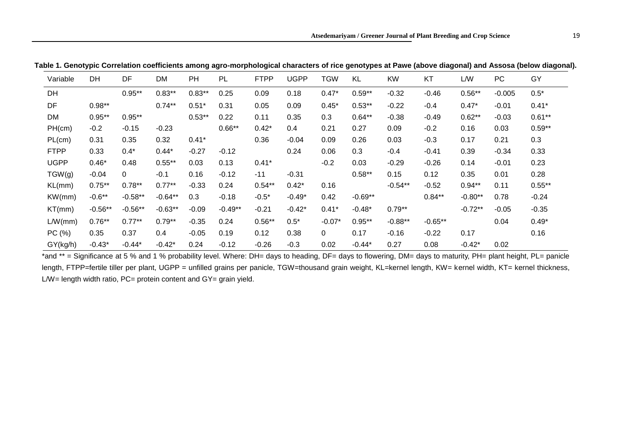| Variable    | <b>DH</b> | DF        | DM        | PH       | <b>PL</b> | <b>FTPP</b> | <b>UGPP</b> | <b>TGW</b>     | KL        | <b>KW</b> | KT        | <b>L/W</b> | <b>PC</b> | GY        |
|-------------|-----------|-----------|-----------|----------|-----------|-------------|-------------|----------------|-----------|-----------|-----------|------------|-----------|-----------|
| DH          |           | $0.95**$  | $0.83**$  | $0.83**$ | 0.25      | 0.09        | 0.18        | $0.47*$        | $0.59**$  | $-0.32$   | $-0.46$   | $0.56**$   | $-0.005$  | $0.5*$    |
| DF          | $0.98**$  |           | $0.74***$ | $0.51*$  | 0.31      | 0.05        | 0.09        | $0.45*$        | $0.53**$  | $-0.22$   | $-0.4$    | $0.47*$    | $-0.01$   | $0.41*$   |
| <b>DM</b>   | $0.95**$  | $0.95**$  |           | $0.53**$ | 0.22      | 0.11        | 0.35        | 0.3            | $0.64***$ | $-0.38$   | $-0.49$   | $0.62**$   | $-0.03$   | $0.61**$  |
| PH(cm)      | $-0.2$    | $-0.15$   | $-0.23$   |          | $0.66**$  | $0.42*$     | 0.4         | 0.21           | 0.27      | 0.09      | $-0.2$    | 0.16       | 0.03      | $0.59**$  |
| PL(cm)      | 0.31      | 0.35      | 0.32      | $0.41*$  |           | 0.36        | $-0.04$     | 0.09           | 0.26      | 0.03      | $-0.3$    | 0.17       | 0.21      | 0.3       |
| <b>FTPP</b> | 0.33      | $0.4*$    | $0.44*$   | $-0.27$  | $-0.12$   |             | 0.24        | 0.06           | 0.3       | $-0.4$    | $-0.41$   | 0.39       | $-0.34$   | 0.33      |
| <b>UGPP</b> | $0.46*$   | 0.48      | $0.55***$ | 0.03     | 0.13      | $0.41*$     |             | $-0.2$         | 0.03      | $-0.29$   | $-0.26$   | 0.14       | $-0.01$   | 0.23      |
| TGW(q)      | $-0.04$   | 0         | $-0.1$    | 0.16     | $-0.12$   | $-11$       | $-0.31$     |                | $0.58**$  | 0.15      | 0.12      | 0.35       | 0.01      | 0.28      |
| KL(mm)      | $0.75***$ | $0.78**$  | $0.77***$ | $-0.33$  | 0.24      | $0.54***$   | $0.42*$     | 0.16           |           | $-0.54**$ | $-0.52$   | $0.94**$   | 0.11      | $0.55***$ |
| KW(mm)      | $-0.6**$  | $-0.58**$ | $-0.64**$ | 0.3      | $-0.18$   | $-0.5*$     | $-0.49*$    | 0.42           | $-0.69**$ |           | $0.84**$  | $-0.80**$  | 0.78      | $-0.24$   |
| KT(mm)      | $-0.56**$ | $-0.56**$ | $-0.63**$ | $-0.09$  | $-0.49**$ | $-0.21$     | $-0.42*$    | $0.41*$        | $-0.48*$  | $0.79**$  |           | $-0.72**$  | $-0.05$   | $-0.35$   |
| L/W(mm)     | $0.76***$ | $0.77***$ | $0.79**$  | $-0.35$  | 0.24      | $0.56***$   | $0.5*$      | $-0.07*$       | $0.95**$  | $-0.88**$ | $-0.65**$ |            | 0.04      | $0.49*$   |
| PC(%)       | 0.35      | 0.37      | 0.4       | $-0.05$  | 0.19      | 0.12        | 0.38        | $\overline{0}$ | 0.17      | $-0.16$   | $-0.22$   | 0.17       |           | 0.16      |
| GY(kg/h)    | $-0.43*$  | $-0.44*$  | $-0.42*$  | 0.24     | $-0.12$   | $-0.26$     | $-0.3$      | 0.02           | $-0.44*$  | 0.27      | 0.08      | $-0.42*$   | 0.02      |           |

**Table 1. Genotypic Correlation coefficients among agro-morphological characters of rice genotypes at Pawe (above diagonal) and Assosa (below diagonal).**

<sup>\*</sup>and \*\* = Significance at 5 % and 1 % probability level. Where: DH= days to heading, DF= days to flowering, DM= days to maturity, PH= plant height, PL= panicle length, FTPP=fertile tiller per plant, UGPP = unfilled grains per panicle, TGW=thousand grain weight, KL=kernel length, KW= kernel width, KT= kernel thickness, L/W= length width ratio,  $PC=$  protein content and  $GY=$  grain yield.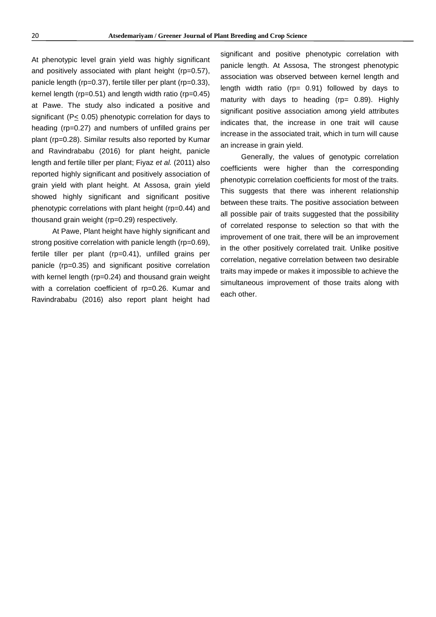At phenotypic level grain yield was highly significant and positively associated with plant height (rp=0.57), panicle length (rp=0.37), fertile tiller per plant (rp=0.33), kernel length (rp=0.51) and length width ratio (rp=0.45) at Pawe. The study also indicated a positive and significant (P< 0.05) phenotypic correlation for days to heading (rp=0.27) and numbers of unfilled grains per plant (rp=0.28). Similar results also reported by Kumar and Ravindrababu (2016) for plant height, panicle length and fertile tiller per plant; Fiyaz *et al.* (2011) also reported highly significant and positively association of grain yield with plant height. At Assosa, grain yield showed highly significant and significant positive phenotypic correlations with plant height (rp=0.44) and thousand grain weight (rp=0.29) respectively.

At Pawe, Plant height have highly significant and strong positive correlation with panicle length (rp=0.69), fertile tiller per plant (rp=0.41), unfilled grains per panicle (rp=0.35) and significant positive correlation with kernel length (rp=0.24) and thousand grain weight with a correlation coefficient of rp=0.26. Kumar and Ravindrababu (2016) also report plant height had

significant and positive phenotypic correlation with panicle length. At Assosa, The strongest phenotypic association was observed between kernel length and length width ratio (rp= 0.91) followed by days to maturity with days to heading ( $rp = 0.89$ ). Highly significant positive association among yield attributes indicates that, the increase in one trait will cause increase in the associated trait, which in turn will cause an increase in grain yield.

Generally, the values of genotypic correlation coefficients were higher than the corresponding phenotypic correlation coefficients for most of the traits. This suggests that there was inherent relationship between these traits. The positive association between all possible pair of traits suggested that the possibility of correlated response to selection so that with the improvement of one trait, there will be an improvement in the other positively correlated trait. Unlike positive correlation, negative correlation between two desirable traits may impede or makes it impossible to achieve the simultaneous improvement of those traits along with each other.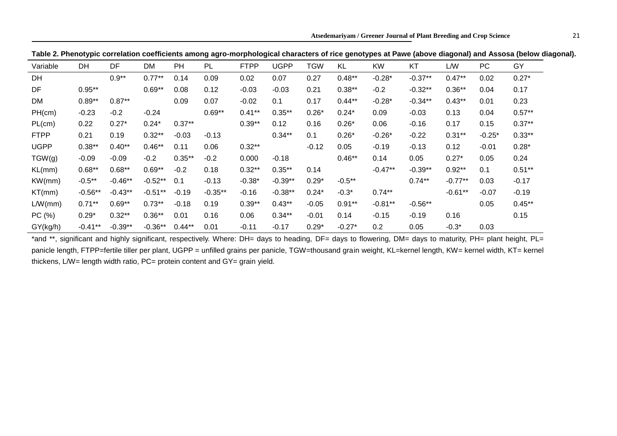| Table 2. Phenotypic correlation coefficients among agro-morphological characters of rice genotypes at Pawe (above diagonal) and Assosa (below diagonal). |  |  |
|----------------------------------------------------------------------------------------------------------------------------------------------------------|--|--|
|----------------------------------------------------------------------------------------------------------------------------------------------------------|--|--|

| Variable    | DH         | DF        | DM        | PH        | PL        | <b>FTPP</b> | <b>UGPP</b> | <b>TGW</b> | KL        | <b>KW</b> | KT        | L/W       | <b>PC</b> | GY        |
|-------------|------------|-----------|-----------|-----------|-----------|-------------|-------------|------------|-----------|-----------|-----------|-----------|-----------|-----------|
| DH          |            | $0.9**$   | $0.77***$ | 0.14      | 0.09      | 0.02        | 0.07        | 0.27       | $0.48**$  | $-0.28*$  | $-0.37**$ | $0.47**$  | 0.02      | $0.27*$   |
| DF          | $0.95**$   |           | $0.69**$  | 0.08      | 0.12      | $-0.03$     | $-0.03$     | 0.21       | $0.38**$  | $-0.2$    | $-0.32**$ | $0.36**$  | 0.04      | 0.17      |
| DM          | $0.89**$   | $0.87**$  |           | 0.09      | 0.07      | $-0.02$     | 0.1         | 0.17       | $0.44**$  | $-0.28*$  | $-0.34**$ | $0.43***$ | 0.01      | 0.23      |
| PH(cm)      | $-0.23$    | $-0.2$    | $-0.24$   |           | $0.69**$  | $0.41**$    | $0.35***$   | $0.26*$    | $0.24*$   | 0.09      | $-0.03$   | 0.13      | 0.04      | $0.57***$ |
| PL(cm)      | 0.22       | $0.27*$   | $0.24*$   | $0.37**$  |           | $0.39**$    | 0.12        | 0.16       | $0.26*$   | 0.06      | $-0.16$   | 0.17      | 0.15      | $0.37**$  |
| <b>FTPP</b> | 0.21       | 0.19      | $0.32**$  | $-0.03$   | $-0.13$   |             | $0.34***$   | 0.1        | $0.26*$   | $-0.26*$  | $-0.22$   | $0.31***$ | $-0.25*$  | $0.33**$  |
| <b>UGPP</b> | $0.38**$   | $0.40**$  | $0.46**$  | 0.11      | 0.06      | $0.32**$    |             | $-0.12$    | 0.05      | $-0.19$   | $-0.13$   | 0.12      | $-0.01$   | $0.28*$   |
| TGW(g)      | $-0.09$    | $-0.09$   | $-0.2$    | $0.35***$ | $-0.2$    | 0.000       | $-0.18$     |            | $0.46**$  | 0.14      | 0.05      | $0.27*$   | 0.05      | 0.24      |
| KL(mm)      | $0.68**$   | $0.68**$  | $0.69**$  | $-0.2$    | 0.18      | $0.32**$    | $0.35***$   | 0.14       |           | $-0.47**$ | $-0.39**$ | $0.92**$  | 0.1       | $0.51**$  |
| KW(mm)      | $-0.5***$  | $-0.46**$ | $-0.52**$ | 0.1       | $-0.13$   | $-0.38*$    | $-0.39**$   | $0.29*$    | $-0.5***$ |           | $0.74**$  | $-0.77**$ | 0.03      | $-0.17$   |
| KT(mm)      | $-0.56**$  | $-0.43**$ | $-0.51**$ | $-0.19$   | $-0.35**$ | $-0.16$     | $-0.38**$   | $0.24*$    | $-0.3*$   | $0.74***$ |           | $-0.61**$ | $-0.07$   | $-0.19$   |
| L/W(mm)     | $0.71**$   | $0.69**$  | $0.73**$  | $-0.18$   | 0.19      | $0.39**$    | $0.43**$    | $-0.05$    | $0.91**$  | $-0.81**$ | $-0.56**$ |           | 0.05      | $0.45**$  |
| PC (%)      | $0.29*$    | $0.32**$  | $0.36**$  | 0.01      | 0.16      | 0.06        | $0.34***$   | $-0.01$    | 0.14      | $-0.15$   | $-0.19$   | 0.16      |           | 0.15      |
| GY(kg/h)    | $-0.41***$ | $-0.39**$ | $-0.36**$ | $0.44**$  | 0.01      | $-0.11$     | $-0.17$     | $0.29*$    | $-0.27*$  | 0.2       | 0.05      | $-0.3*$   | 0.03      |           |

\*and \*\*, significant and highly significant, respectively. Where: DH= days to heading, DF= days to flowering, DM= days to maturity, PH= plant height, PL= panicle length, FTPP=fertile tiller per plant, UGPP = unfilled grains per panicle, TGW=thousand grain weight, KL=kernel length, KW= kernel width, KT= kernel thickens, L/W= length width ratio, PC= protein content and GY= grain yield.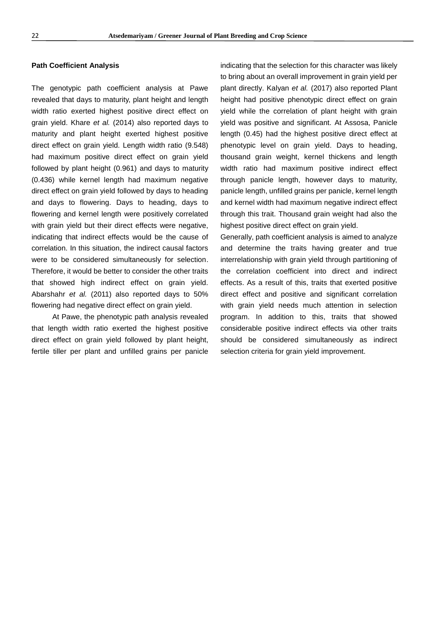#### **Path Coefficient Analysis**

The genotypic path coefficient analysis at Pawe revealed that days to maturity, plant height and length width ratio exerted highest positive direct effect on grain yield. Khare *et al.* (2014) also reported days to maturity and plant height exerted highest positive direct effect on grain yield. Length width ratio (9.548) had maximum positive direct effect on grain yield followed by plant height (0.961) and days to maturity (0.436) while kernel length had maximum negative direct effect on grain yield followed by days to heading and days to flowering. Days to heading, days to flowering and kernel length were positively correlated with grain yield but their direct effects were negative, indicating that indirect effects would be the cause of correlation. In this situation, the indirect causal factors were to be considered simultaneously for selection. Therefore, it would be better to consider the other traits that showed high indirect effect on grain yield. Abarshahr *et al.* (2011) also reported days to 50% flowering had negative direct effect on grain yield.

At Pawe, the phenotypic path analysis revealed that length width ratio exerted the highest positive direct effect on grain yield followed by plant height, fertile tiller per plant and unfilled grains per panicle

indicating that the selection for this character was likely to bring about an overall improvement in grain yield per plant directly. Kalyan *et al.* (2017) also reported Plant height had positive phenotypic direct effect on grain yield while the correlation of plant height with grain yield was positive and significant. At Assosa, Panicle length (0.45) had the highest positive direct effect at phenotypic level on grain yield. Days to heading, thousand grain weight, kernel thickens and length width ratio had maximum positive indirect effect through panicle length, however days to maturity, panicle length, unfilled grains per panicle, kernel length and kernel width had maximum negative indirect effect through this trait. Thousand grain weight had also the highest positive direct effect on grain yield.

Generally, path coefficient analysis is aimed to analyze and determine the traits having greater and true interrelationship with grain yield through partitioning of the correlation coefficient into direct and indirect effects. As a result of this, traits that exerted positive direct effect and positive and significant correlation with grain yield needs much attention in selection program. In addition to this, traits that showed considerable positive indirect effects via other traits should be considered simultaneously as indirect selection criteria for grain yield improvement.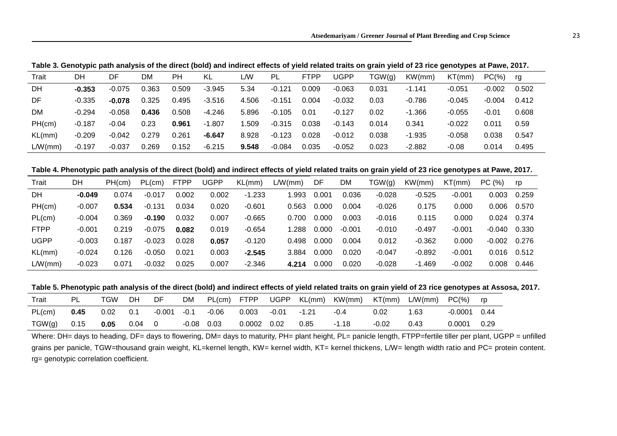**Table 3. Genotypic path analysis of the direct (bold) and indirect effects of yield related traits on grain yield of 23 rice genotypes at Pawe, 2017.**

| Trait     | DΗ       | DF       | DM    | PН    | KL       | L/W   | <b>PL</b> | <b>FTPP</b> | <b>JGPP</b> | TGW(g) | KW(mm)   | KT(mm)   | $PC(\%)$ | rg    |
|-----------|----------|----------|-------|-------|----------|-------|-----------|-------------|-------------|--------|----------|----------|----------|-------|
| DH        | $-0.353$ | $-0.075$ | 0.363 | 0.509 | $-3.945$ | 5.34  | $-0.121$  | 0.009       | $-0.063$    | 0.031  | $-1.141$ | $-0.051$ | $-0.002$ | 0.502 |
| DF        | $-0.335$ | $-0.078$ | 0.325 | 0.495 | $-3.516$ | 4.506 | $-0.151$  | 0.004       | $-0.032$    | 0.03   | $-0.786$ | $-0.045$ | $-0.004$ | 0.412 |
| <b>DM</b> | $-0.294$ | $-0.058$ | 0.436 | 0.508 | $-4.246$ | 5.896 | $-0.105$  | 0.01        | $-0.127$    | 0.02   | $-1.366$ | $-0.055$ | $-0.01$  | 0.608 |
| PH(cm)    | $-0.187$ | $-0.04$  | 0.23  | 0.961 | $-1.807$ | .509  | $-0.315$  | 0.038       | $-0.143$    | 0.014  | 0.341    | $-0.022$ | 0.011    | 0.59  |
| KL(mm)    | $-0.209$ | $-0.042$ | 0.279 | 0.261 | $-6.647$ | 8.928 | $-0.123$  | 0.028       | $-0.012$    | 0.038  | $-1.935$ | $-0.058$ | 0.038    | 0.547 |
| LM(mm)    | $-0.197$ | $-0.037$ | 0.269 | 0.152 | $-6.215$ | 9.548 | $-0.084$  | 0.035       | $-0.052$    | 0.023  | $-2.882$ | $-0.08$  | 0.014    | 0.495 |

**Table 4. Phenotypic path analysis of the direct (bold) and indirect effects of yield related traits on grain yield of 23 rice genotypes at Pawe, 2017.**

| Trait       | DH       | PH(cm) | PL(cm)   | <b>FTPP</b> | UGPP  | KL(mm)   | L/W(mm) | DF    | <b>DM</b> | TGW(q)   | KW(mm)   | KT(mm)   | PC(%)    | rp    |
|-------------|----------|--------|----------|-------------|-------|----------|---------|-------|-----------|----------|----------|----------|----------|-------|
| DH          | $-0.049$ | 0.074  | $-0.017$ | 0.002       | 0.002 | $-1.233$ | .993    | 0.001 | 0.036     | $-0.028$ | $-0.525$ | $-0.001$ | 0.003    | 0.259 |
| PH(cm)      | $-0.007$ | 0.534  | $-0.131$ | 0.034       | 0.020 | $-0.601$ | 0.563   | 0.000 | 0.004     | $-0.026$ | 0.175    | 0.000    | 0.006    | 0.570 |
| PL(cm)      | $-0.004$ | 0.369  | $-0.190$ | 0.032       | 0.007 | $-0.665$ | 0.700   | 0.000 | 0.003     | $-0.016$ | 0.115    | 0.000    | 0.024    | 0.374 |
| <b>FTPP</b> | $-0.001$ | 0.219  | $-0.075$ | 0.082       | 0.019 | $-0.654$ | 1.288   | 0.000 | $-0.001$  | $-0.010$ | $-0.497$ | $-0.001$ | -0.040   | 0.330 |
| <b>UGPP</b> | $-0.003$ | 0.187  | $-0.023$ | 0.028       | 0.057 | $-0.120$ | 0.498   | 0.000 | 0.004     | 0.012    | $-0.362$ | 0.000    | $-0.002$ | 0.276 |
| KL(mm)      | $-0.024$ | 0.126  | $-0.050$ | 0.021       | 0.003 | $-2.545$ | 3.884   | 0.000 | 0.020     | $-0.047$ | $-0.892$ | $-0.001$ | 0.016    | 0.512 |
| L/W(mm)     | $-0.023$ | 0.071  | $-0.032$ | 0.025       | 0.007 | $-2.346$ | 4.214   | 0.000 | 0.020     | $-0.028$ | -1.469   | $-0.002$ | 0.008    | 0.446 |

**Table 5. Phenotypic path analysis of the direct (bold) and indirect effects of yield related traits on grain yield of 23 rice genotypes at Assosa, 2017.**

| Trait  |      | TGW  | DΗ   | DF.      | DM.     | PL(cm)  | FTPP   | <b>UGPP</b> | KL(mm) | KW(mm) | KT(mm) | L/W(mm) | $PC(\%)$ | rp   |
|--------|------|------|------|----------|---------|---------|--------|-------------|--------|--------|--------|---------|----------|------|
| PL(cm) | 0.45 | 0.02 | 0.1  | $-0.001$ | $-0.1$  | $-0.06$ | 0.003  | $-0.01$     | -1.21  | $-0.4$ | 0.02   | .63     | -0.0001  | 0.44 |
| TGW(g) | 0.15 | 0.05 | 0.04 |          | $-0.08$ | 0.03    | 0.0002 | 0.02        | 0.85   | 1.18   | -0.02  | 0.43    | 0.0001   | 0.29 |

Where: DH= days to heading, DF= days to flowering, DM= days to maturity, PH= plant height, PL= panicle length, FTPP=fertile tiller per plant, UGPP = unfilled grains per panicle, TGW=thousand grain weight, KL=kernel length, KW= kernel width, KT= kernel thickens, L/W= length width ratio and PC= protein content. rg= genotypic correlation coefficient.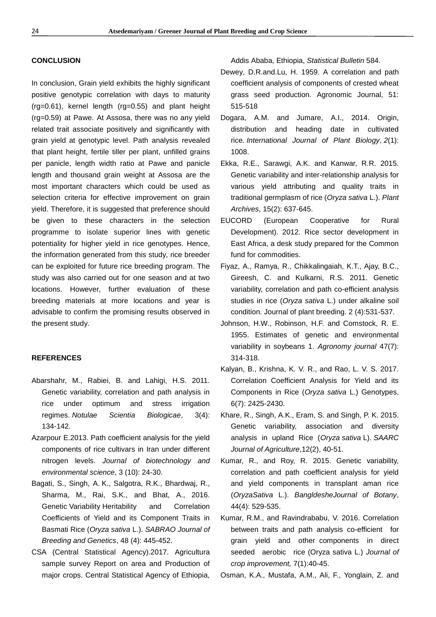# **CONCLUSION**

In conclusion, Grain yield exhibits the highly significant positive genotypic correlation with days to maturity (rg=0.61), kernel length (rg=0.55) and plant height (rg=0.59) at Pawe. At Assosa, there was no any yield related trait associate positively and significantly with grain yield at genotypic level. Path analysis revealed that plant height, fertile tiller per plant, unfilled grains per panicle, length width ratio at Pawe and panicle length and thousand grain weight at Assosa are the most important characters which could be used as selection criteria for effective improvement on grain yield. Therefore, it is suggested that preference should be given to these characters in the selection programme to isolate superior lines with genetic potentiality for higher yield in rice genotypes. Hence, the information generated from this study, rice breeder can be exploited for future rice breeding program. The study was also carried out for one season and at two locations. However, further evaluation of these breeding materials at more locations and year is advisable to confirm the promising results observed in the present study.

### **REFERENCES**

- Abarshahr, M., Rabiei, B. and Lahigi, H.S. 2011. Genetic variability, correlation and path analysis in rice under optimum and stress irrigation regimes. *Notulae Scientia Biologicae*, 3(4): 134-142.
- Azarpour E.2013. Path coefficient analysis for the yield components of rice cultivars in Iran under different nitrogen levels. *Journal of biotechnology and environmental science*, 3 (10): 24-30.
- Bagati, S., Singh, A. K., Salgotra, R.K., Bhardwaj, R., Sharma, M., Rai, S.K., and Bhat, A., 2016. Genetic Variability Heritability and Correlation Coefficients of Yield and its Component Traits in Basmati Rice (*Oryza sativa* L.). *SABRAO Journal of Breeding and Genetics*, 48 (4): 445-452.
- CSA (Central Statistical Agency).2017. Agricultura sample survey Report on area and Production of major crops. Central Statistical Agency of Ethiopia,

Addis Ababa, Ethiopia, *Statistical Bulletin* 584.

- Dewey, D.R.and.Lu, H. 1959. A correlation and path coefficient analysis of components of crested wheat grass seed production. Agronomic Journal, 51: 515-518
- Dogara, A.M. and Jumare, A.I., 2014. Origin, distribution and heading date in cultivated rice. *International Journal of Plant Biology*, *2*(1): 1008.
- Ekka, R.E., Sarawgi, A.K. and Kanwar, R.R. 2015. Genetic variability and inter-relationship analysis for various yield attributing and quality traits in traditional germplasm of rice (*Oryza sativa* L.). *Plant Archives*, 15(2): 637-645.
- EUCORD (European Cooperative for Rural Development). 2012. Rice sector development in East Africa, a desk study prepared for the Common fund for commodities.
- Fiyaz, A., Ramya, R., Chikkalingaiah, K.T., Ajay, B.C., Gireesh, C. and Kulkarni, R.S. 2011. Genetic variability, correlation and path co-efficient analysis studies in rice (*Oryza sativa* L.) under alkaline soil condition. Journal of plant breeding. 2 (4):531-537.
- Johnson, H.W., Robinson, H.F. and Comstock, R. E. 1955. Estimates of genetic and environmental variability in soybeans 1. *Agronomy journal* 47(7): 314-318.
- Kalyan, B., Krishna, K. V. R., and Rao, L. V. S. 2017. Correlation Coefficient Analysis for Yield and its Components in Rice (*Oryza sativa* L.) Genotypes, 6(7): 2425-2430.
- Khare, R., Singh, A.K., Eram, S. and Singh, P. K. 2015. Genetic variability, association and diversity analysis in upland Rice (*Oryza sativa* L). *SAARC Journal of Agriculture*,12(2), 40-51.
- Kumar, R., and Roy, R. 2015. Genetic variability, correlation and path coefficient analysis for yield and yield components in transplant aman rice (*OryzaSativa* L.). *BangldesheJournal of Botany*, 44(4): 529-535.
- Kumar, R.M., and Ravindrababu, V. 2016. Correlation between traits and path analysis co-efficient for grain yield and other components in direct seeded aerobic rice (Oryza sativa L.) *Journal of crop improvement,* 7(1):40-45.

Osman, K.A., Mustafa, A.M., Ali, F., Yonglain, Z. and